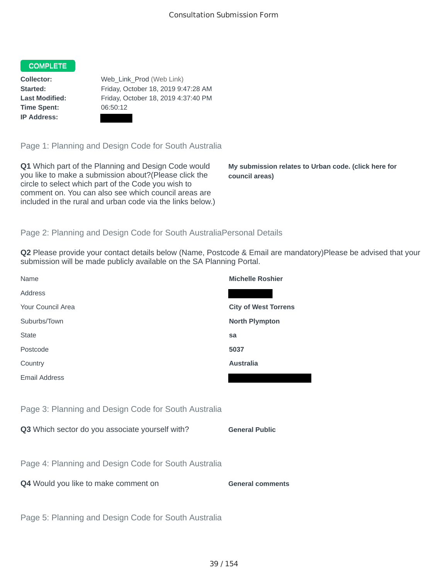## COMPLETE

**Time Spent:** 06:50:12 **IP Address:**

**Collector:** Web\_Link\_Prod (Web Link) **Started:** Friday, October 18, 2019 9:47:28 AM **Last Modified:** Friday, October 18, 2019 4:37:40 PM

Page 1: Planning and Design Code for South Australia

**Q1** Which part of the Planning and Design Code would you like to make a submission about?(Please click the circle to select which part of the Code you wish to comment on. You can also see which council areas are included in the rural and urban code via the links below.)

**My submission relates to Urban code. (click here for council areas)**

## Page 2: Planning and Design Code for South AustraliaPersonal Details

**Q2** Please provide your contact details below (Name, Postcode & Email are mandatory)Please be advised that your submission will be made publicly available on the SA Planning Portal.

| Name                                                 | <b>Michelle Roshier</b>     |
|------------------------------------------------------|-----------------------------|
| Address                                              |                             |
| Your Council Area                                    | <b>City of West Torrens</b> |
| Suburbs/Town                                         | <b>North Plympton</b>       |
| <b>State</b>                                         | sa                          |
| Postcode                                             | 5037                        |
| Country                                              | <b>Australia</b>            |
| <b>Email Address</b>                                 |                             |
|                                                      |                             |
| Page 3: Planning and Design Code for South Australia |                             |
| Q3 Which sector do you associate yourself with?      | <b>General Public</b>       |
|                                                      |                             |
| Page 4: Planning and Design Code for South Australia |                             |
| Q4 Would you like to make comment on                 | <b>General comments</b>     |
|                                                      |                             |
| Page 5: Planning and Design Code for South Australia |                             |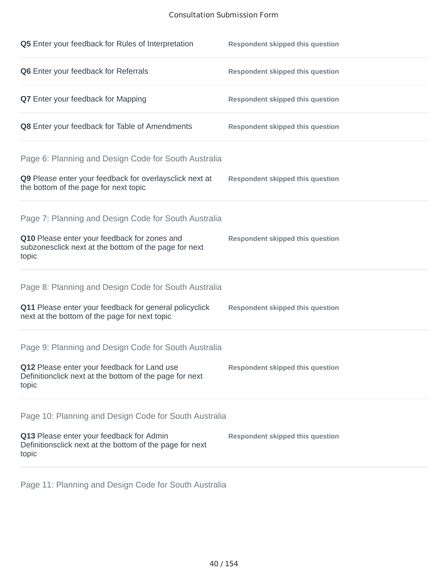## Consultation Submission Form

| Q5 Enter your feedback for Rules of Interpretation                                                              | <b>Respondent skipped this question</b> |
|-----------------------------------------------------------------------------------------------------------------|-----------------------------------------|
| Q6 Enter your feedback for Referrals                                                                            | <b>Respondent skipped this question</b> |
| <b>Q7</b> Enter your feedback for Mapping                                                                       | <b>Respondent skipped this question</b> |
| Q8 Enter your feedback for Table of Amendments                                                                  | <b>Respondent skipped this question</b> |
| Page 6: Planning and Design Code for South Australia                                                            |                                         |
| Q9 Please enter your feedback for overlaysclick next at<br>the bottom of the page for next topic                | <b>Respondent skipped this question</b> |
| Page 7: Planning and Design Code for South Australia                                                            |                                         |
| Q10 Please enter your feedback for zones and<br>subzonesclick next at the bottom of the page for next<br>topic  | <b>Respondent skipped this question</b> |
| Page 8: Planning and Design Code for South Australia                                                            |                                         |
| Q11 Please enter your feedback for general policyclick<br>next at the bottom of the page for next topic         | <b>Respondent skipped this question</b> |
| Page 9: Planning and Design Code for South Australia                                                            |                                         |
| Q12 Please enter your feedback for Land use<br>Definitionclick next at the bottom of the page for next<br>topic | <b>Respondent skipped this question</b> |
| Page 10: Planning and Design Code for South Australia                                                           |                                         |
| Q13 Please enter your feedback for Admin<br>Definitionsclick next at the bottom of the page for next<br>topic   | <b>Respondent skipped this question</b> |

Page 11: Planning and Design Code for South Australia